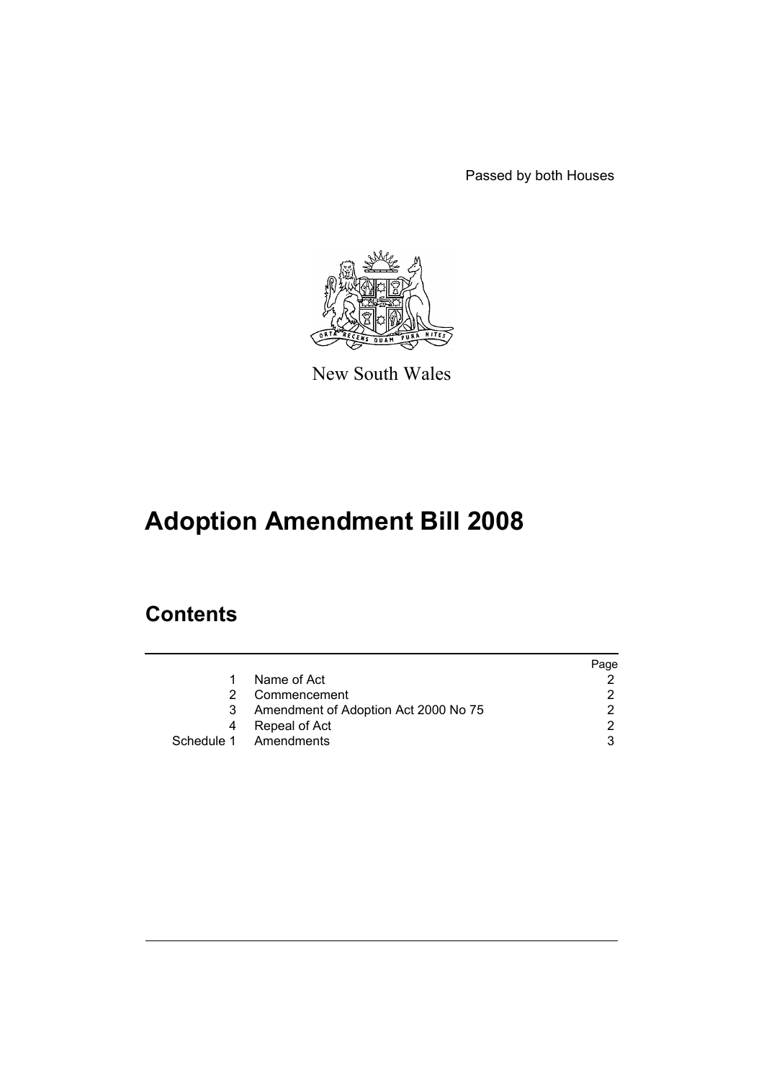Passed by both Houses



New South Wales

# **Adoption Amendment Bill 2008**

## **Contents**

|    |                                      | Page |
|----|--------------------------------------|------|
| 1  | Name of Act                          |      |
| 2. | Commencement                         |      |
| 3  | Amendment of Adoption Act 2000 No 75 |      |
| 4  | Repeal of Act                        | ⌒    |
|    | Schedule 1 Amendments                |      |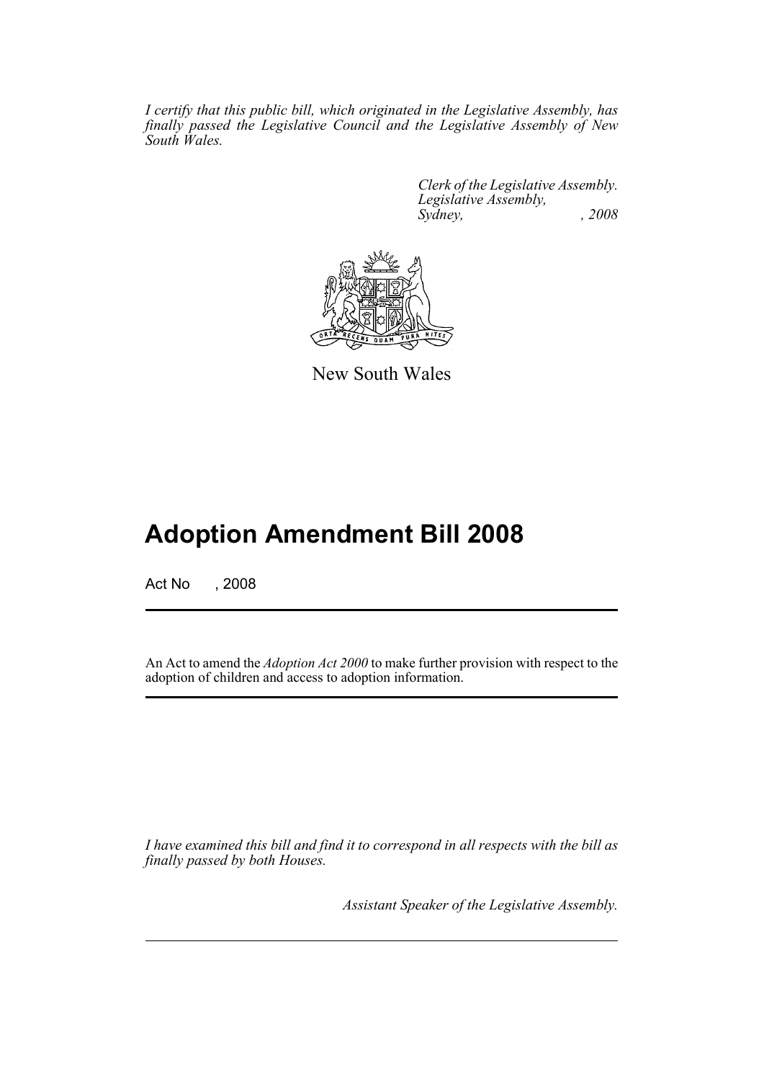*I certify that this public bill, which originated in the Legislative Assembly, has finally passed the Legislative Council and the Legislative Assembly of New South Wales.*

> *Clerk of the Legislative Assembly. Legislative Assembly, Sydney, , 2008*



New South Wales

# **Adoption Amendment Bill 2008**

Act No , 2008

An Act to amend the *Adoption Act 2000* to make further provision with respect to the adoption of children and access to adoption information.

*I have examined this bill and find it to correspond in all respects with the bill as finally passed by both Houses.*

*Assistant Speaker of the Legislative Assembly.*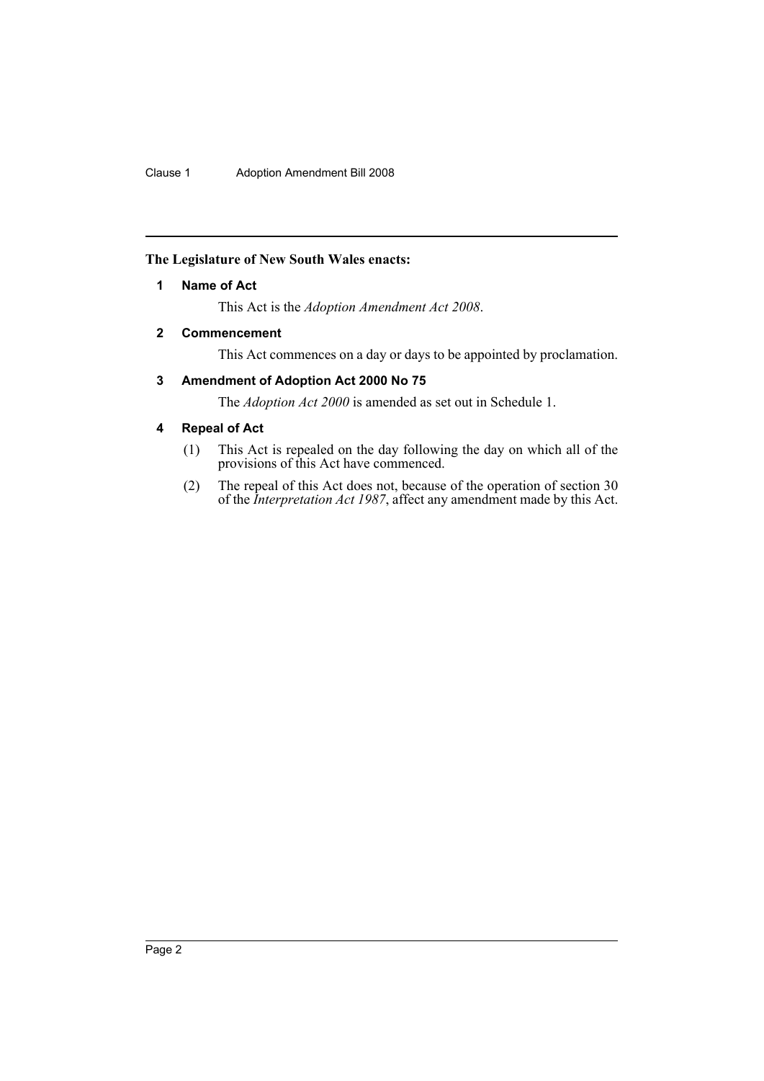## <span id="page-2-0"></span>**The Legislature of New South Wales enacts:**

## **1 Name of Act**

This Act is the *Adoption Amendment Act 2008*.

## <span id="page-2-1"></span>**2 Commencement**

This Act commences on a day or days to be appointed by proclamation.

## <span id="page-2-2"></span>**3 Amendment of Adoption Act 2000 No 75**

The *Adoption Act 2000* is amended as set out in Schedule 1.

## <span id="page-2-3"></span>**4 Repeal of Act**

- (1) This Act is repealed on the day following the day on which all of the provisions of this Act have commenced.
- (2) The repeal of this Act does not, because of the operation of section 30 of the *Interpretation Act 1987*, affect any amendment made by this Act.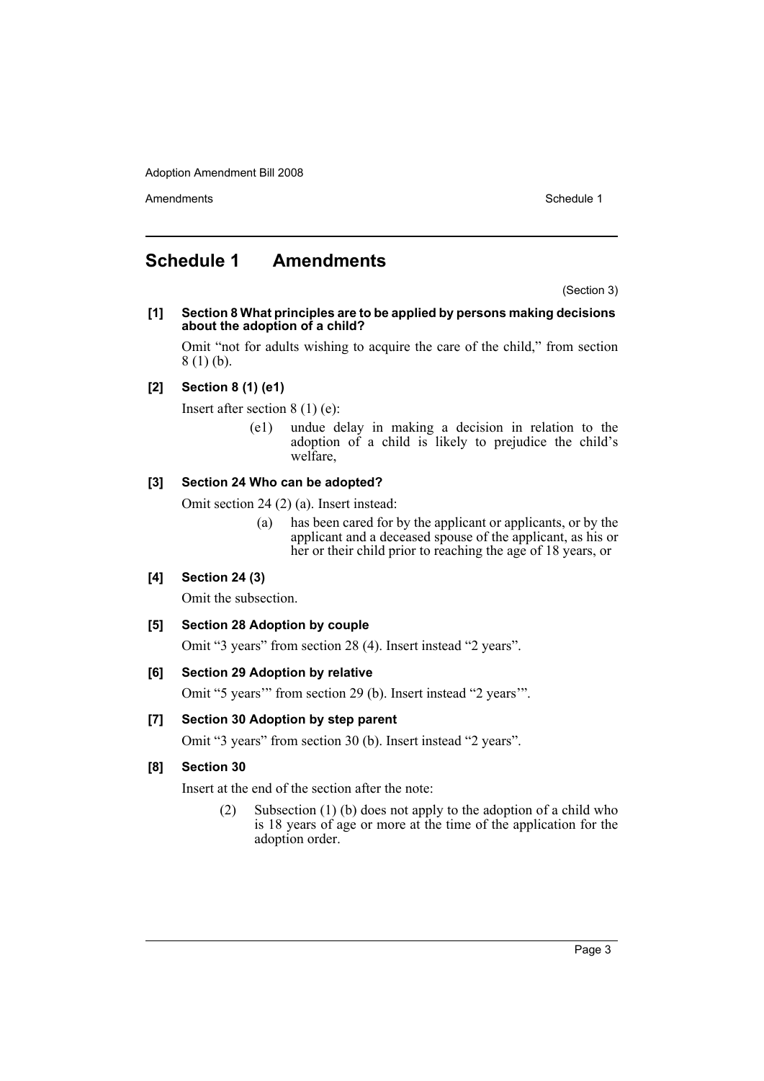Amendments **Schedule 1** and the set of the set of the set of the set of the set of the set of the set of the set of the set of the set of the set of the set of the set of the set of the set of the set of the set of the set

## <span id="page-3-0"></span>**Schedule 1 Amendments**

(Section 3)

**[1] Section 8 What principles are to be applied by persons making decisions about the adoption of a child?**

Omit "not for adults wishing to acquire the care of the child," from section 8 (1) (b).

## **[2] Section 8 (1) (e1)**

Insert after section 8 (1) (e):

(e1) undue delay in making a decision in relation to the adoption of a child is likely to prejudice the child's welfare,

## **[3] Section 24 Who can be adopted?**

Omit section 24 (2) (a). Insert instead:

(a) has been cared for by the applicant or applicants, or by the applicant and a deceased spouse of the applicant, as his or her or their child prior to reaching the age of 18 years, or

## **[4] Section 24 (3)**

Omit the subsection.

## **[5] Section 28 Adoption by couple**

Omit "3 years" from section 28 (4). Insert instead "2 years".

## **[6] Section 29 Adoption by relative**

Omit "5 years'" from section 29 (b). Insert instead "2 years'".

## **[7] Section 30 Adoption by step parent**

Omit "3 years" from section 30 (b). Insert instead "2 years".

## **[8] Section 30**

Insert at the end of the section after the note:

(2) Subsection (1) (b) does not apply to the adoption of a child who is 18 years of age or more at the time of the application for the adoption order.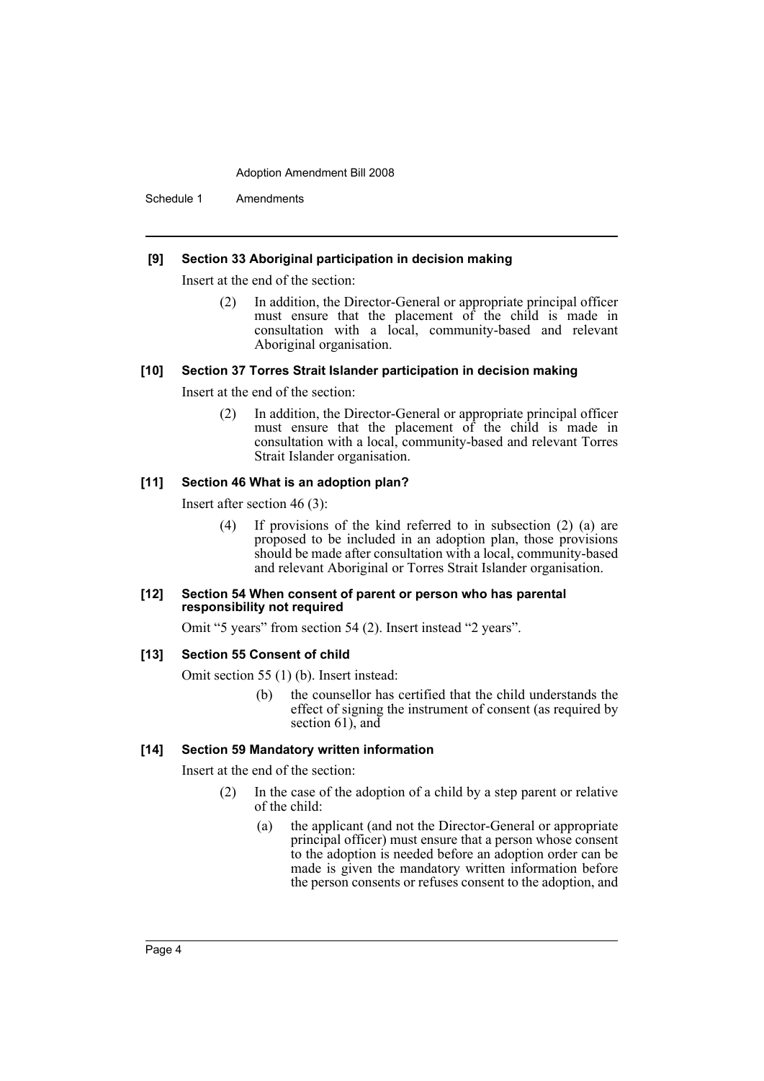Schedule 1 Amendments

#### **[9] Section 33 Aboriginal participation in decision making**

Insert at the end of the section:

(2) In addition, the Director-General or appropriate principal officer must ensure that the placement of the child is made in consultation with a local, community-based and relevant Aboriginal organisation.

#### **[10] Section 37 Torres Strait Islander participation in decision making**

Insert at the end of the section:

(2) In addition, the Director-General or appropriate principal officer must ensure that the placement of the child is made in consultation with a local, community-based and relevant Torres Strait Islander organisation.

#### **[11] Section 46 What is an adoption plan?**

Insert after section 46 (3):

(4) If provisions of the kind referred to in subsection (2) (a) are proposed to be included in an adoption plan, those provisions should be made after consultation with a local, community-based and relevant Aboriginal or Torres Strait Islander organisation.

#### **[12] Section 54 When consent of parent or person who has parental responsibility not required**

Omit "5 years" from section 54 (2). Insert instead "2 years".

#### **[13] Section 55 Consent of child**

Omit section 55 (1) (b). Insert instead:

(b) the counsellor has certified that the child understands the effect of signing the instrument of consent (as required by section 61), and

#### **[14] Section 59 Mandatory written information**

Insert at the end of the section:

- (2) In the case of the adoption of a child by a step parent or relative of the child:
	- (a) the applicant (and not the Director-General or appropriate principal officer) must ensure that a person whose consent to the adoption is needed before an adoption order can be made is given the mandatory written information before the person consents or refuses consent to the adoption, and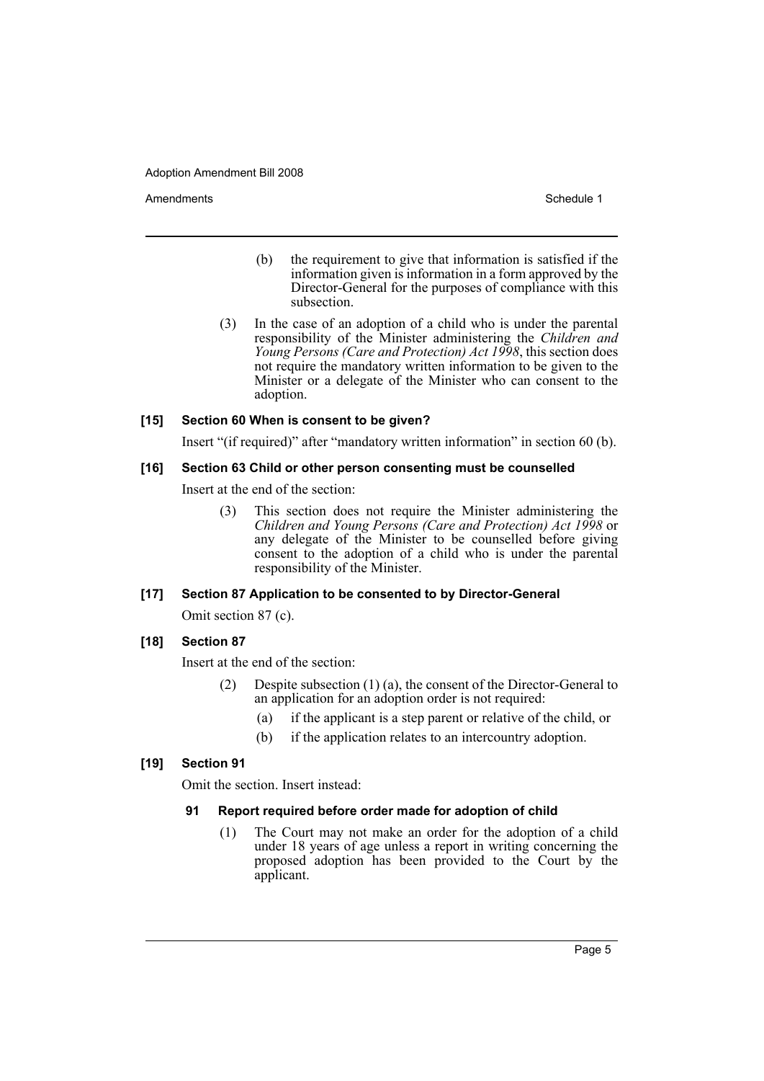Amendments **Amendments** Schedule 1

- (b) the requirement to give that information is satisfied if the information given is information in a form approved by the Director-General for the purposes of compliance with this subsection.
- (3) In the case of an adoption of a child who is under the parental responsibility of the Minister administering the *Children and Young Persons (Care and Protection) Act 1998*, this section does not require the mandatory written information to be given to the Minister or a delegate of the Minister who can consent to the adoption.

## **[15] Section 60 When is consent to be given?**

Insert "(if required)" after "mandatory written information" in section 60 (b).

## **[16] Section 63 Child or other person consenting must be counselled**

Insert at the end of the section:

(3) This section does not require the Minister administering the *Children and Young Persons (Care and Protection) Act 1998* or any delegate of the Minister to be counselled before giving consent to the adoption of a child who is under the parental responsibility of the Minister.

## **[17] Section 87 Application to be consented to by Director-General**

Omit section 87 (c).

## **[18] Section 87**

Insert at the end of the section:

- (2) Despite subsection (1) (a), the consent of the Director-General to an application for an adoption order is not required:
	- (a) if the applicant is a step parent or relative of the child, or
	- (b) if the application relates to an intercountry adoption.

## **[19] Section 91**

Omit the section. Insert instead:

## **91 Report required before order made for adoption of child**

(1) The Court may not make an order for the adoption of a child under 18 years of age unless a report in writing concerning the proposed adoption has been provided to the Court by the applicant.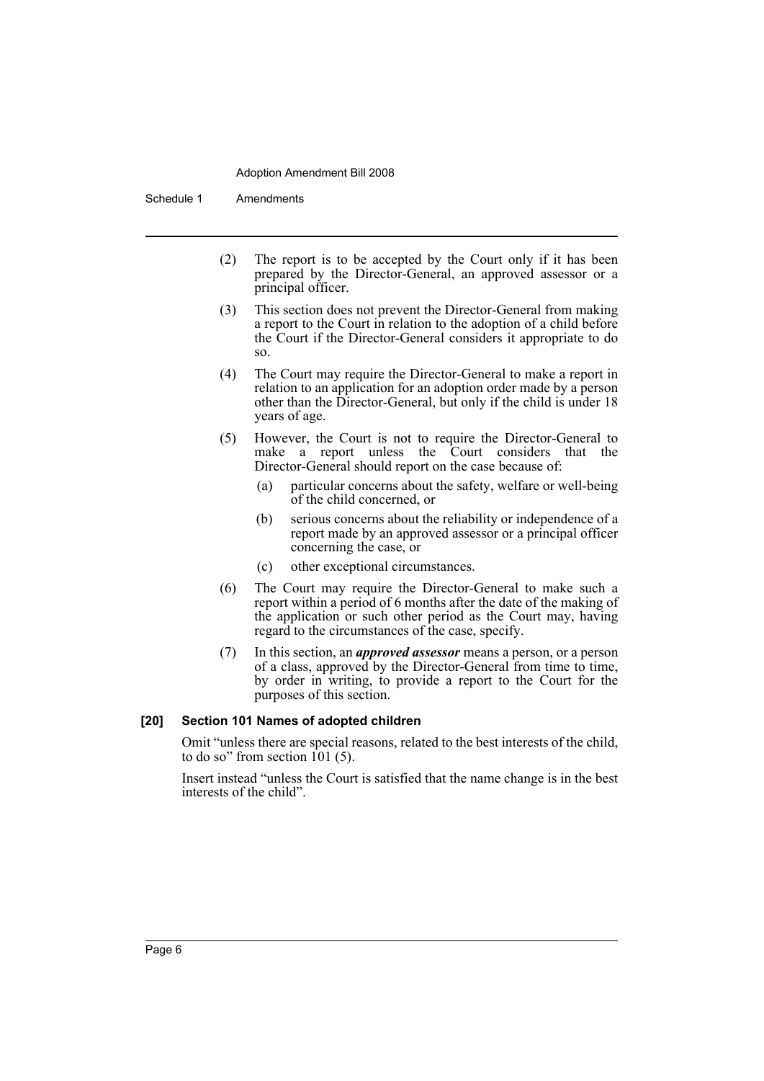Schedule 1 Amendments

- (2) The report is to be accepted by the Court only if it has been prepared by the Director-General, an approved assessor or a principal officer.
- (3) This section does not prevent the Director-General from making a report to the Court in relation to the adoption of a child before the Court if the Director-General considers it appropriate to do so.
- (4) The Court may require the Director-General to make a report in relation to an application for an adoption order made by a person other than the Director-General, but only if the child is under 18 years of age.
- (5) However, the Court is not to require the Director-General to make a report unless the Court considers that the Director-General should report on the case because of:
	- (a) particular concerns about the safety, welfare or well-being of the child concerned, or
	- (b) serious concerns about the reliability or independence of a report made by an approved assessor or a principal officer concerning the case, or
	- (c) other exceptional circumstances.
- (6) The Court may require the Director-General to make such a report within a period of 6 months after the date of the making of the application or such other period as the Court may, having regard to the circumstances of the case, specify.
- (7) In this section, an *approved assessor* means a person, or a person of a class, approved by the Director-General from time to time, by order in writing, to provide a report to the Court for the purposes of this section.

#### **[20] Section 101 Names of adopted children**

Omit "unless there are special reasons, related to the best interests of the child, to do so" from section  $101(5)$ .

Insert instead "unless the Court is satisfied that the name change is in the best interests of the child".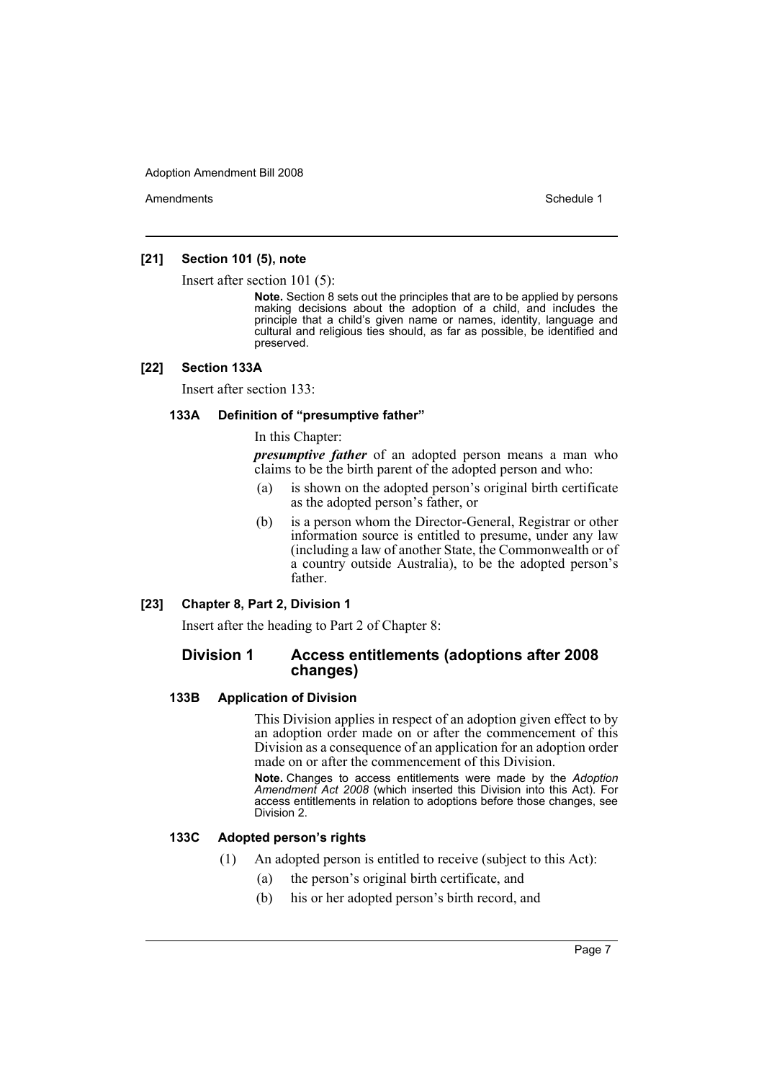Amendments **Amendments** Schedule 1

## **[21] Section 101 (5), note**

Insert after section 101 (5):

**Note.** Section 8 sets out the principles that are to be applied by persons making decisions about the adoption of a child, and includes the principle that a child's given name or names, identity, language and cultural and religious ties should, as far as possible, be identified and preserved.

#### **[22] Section 133A**

Insert after section 133:

## **133A Definition of "presumptive father"**

In this Chapter:

*presumptive father* of an adopted person means a man who claims to be the birth parent of the adopted person and who:

- (a) is shown on the adopted person's original birth certificate as the adopted person's father, or
- (b) is a person whom the Director-General, Registrar or other information source is entitled to presume, under any law (including a law of another State, the Commonwealth or of a country outside Australia), to be the adopted person's father.

#### **[23] Chapter 8, Part 2, Division 1**

Insert after the heading to Part 2 of Chapter 8:

## **Division 1 Access entitlements (adoptions after 2008 changes)**

#### **133B Application of Division**

This Division applies in respect of an adoption given effect to by an adoption order made on or after the commencement of this Division as a consequence of an application for an adoption order made on or after the commencement of this Division.

**Note.** Changes to access entitlements were made by the *Adoption Amendment Act 2008* (which inserted this Division into this Act). For access entitlements in relation to adoptions before those changes, see Division 2.

## **133C Adopted person's rights**

- (1) An adopted person is entitled to receive (subject to this Act):
	- (a) the person's original birth certificate, and
	- (b) his or her adopted person's birth record, and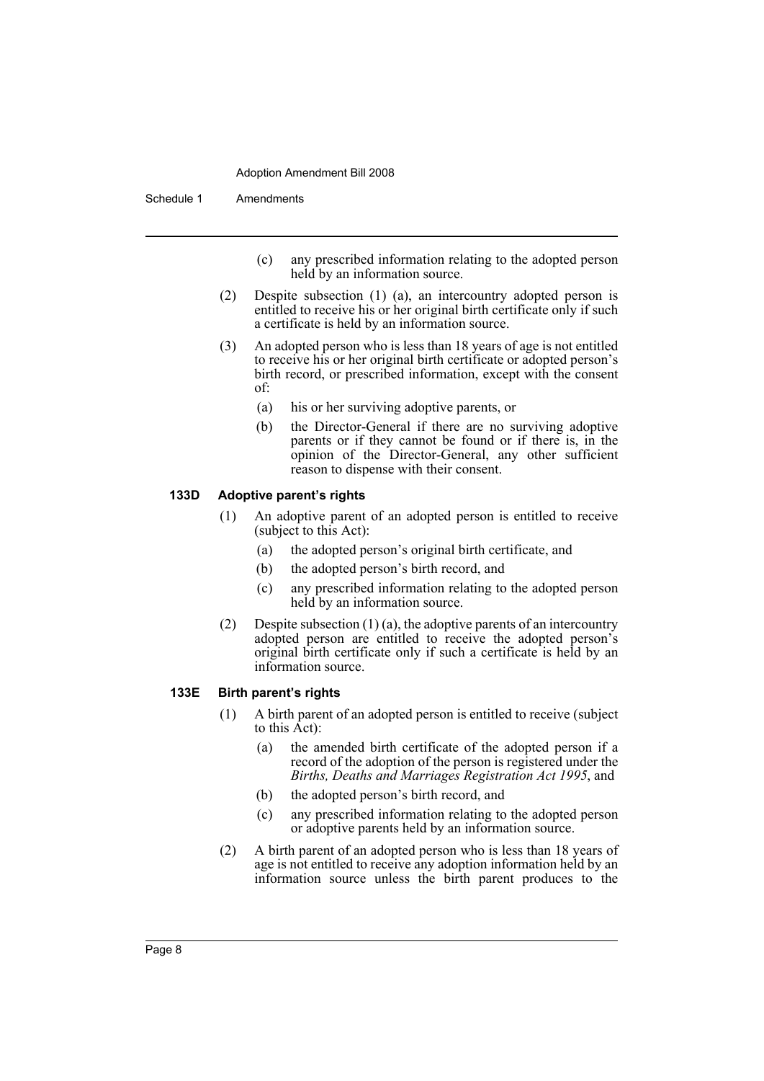Schedule 1 Amendments

- (c) any prescribed information relating to the adopted person held by an information source.
- (2) Despite subsection (1) (a), an intercountry adopted person is entitled to receive his or her original birth certificate only if such a certificate is held by an information source.
- (3) An adopted person who is less than 18 years of age is not entitled to receive his or her original birth certificate or adopted person's birth record, or prescribed information, except with the consent of:
	- (a) his or her surviving adoptive parents, or
	- (b) the Director-General if there are no surviving adoptive parents or if they cannot be found or if there is, in the opinion of the Director-General, any other sufficient reason to dispense with their consent.

#### **133D Adoptive parent's rights**

- (1) An adoptive parent of an adopted person is entitled to receive (subject to this Act):
	- (a) the adopted person's original birth certificate, and
	- (b) the adopted person's birth record, and
	- (c) any prescribed information relating to the adopted person held by an information source.
- (2) Despite subsection  $(1)$  (a), the adoptive parents of an intercountry adopted person are entitled to receive the adopted person's original birth certificate only if such a certificate is held by an information source.

#### **133E Birth parent's rights**

- (1) A birth parent of an adopted person is entitled to receive (subject to this  $\vec{A}ct$ :
	- (a) the amended birth certificate of the adopted person if a record of the adoption of the person is registered under the *Births, Deaths and Marriages Registration Act 1995*, and
	- (b) the adopted person's birth record, and
	- (c) any prescribed information relating to the adopted person or adoptive parents held by an information source.
- (2) A birth parent of an adopted person who is less than 18 years of age is not entitled to receive any adoption information held by an information source unless the birth parent produces to the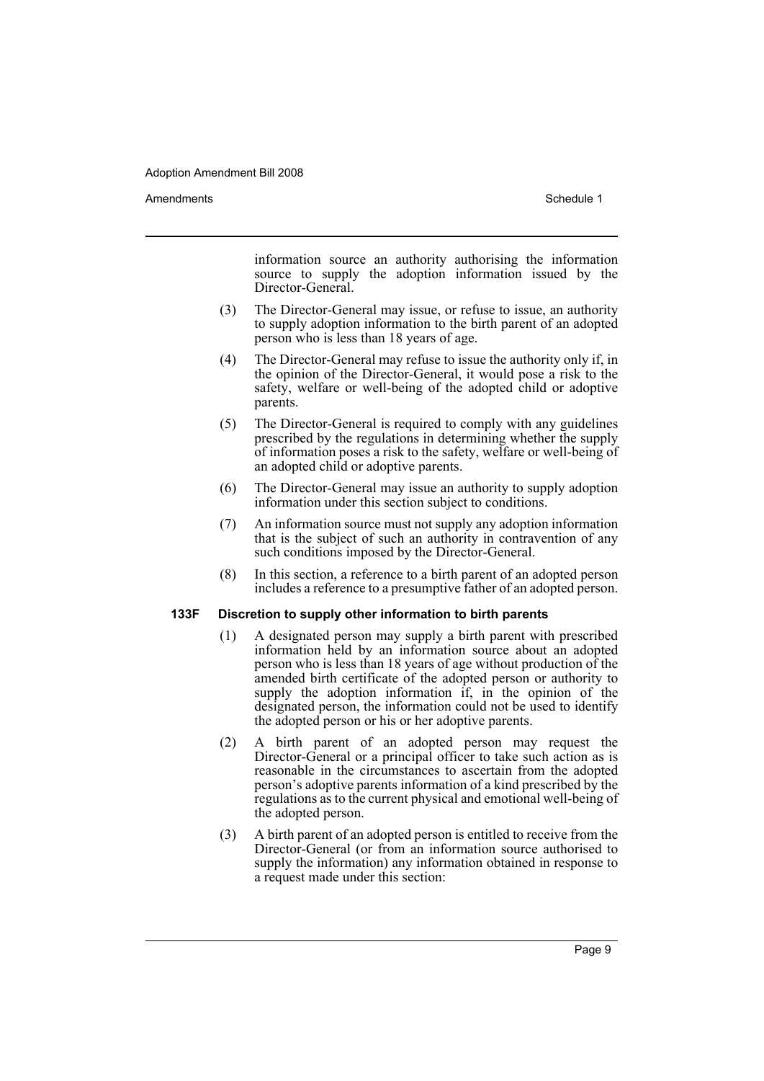Amendments **Amendments** Schedule 1

information source an authority authorising the information source to supply the adoption information issued by the Director-General.

- (3) The Director-General may issue, or refuse to issue, an authority to supply adoption information to the birth parent of an adopted person who is less than 18 years of age.
- (4) The Director-General may refuse to issue the authority only if, in the opinion of the Director-General, it would pose a risk to the safety, welfare or well-being of the adopted child or adoptive parents.
- (5) The Director-General is required to comply with any guidelines prescribed by the regulations in determining whether the supply of information poses a risk to the safety, welfare or well-being of an adopted child or adoptive parents.
- (6) The Director-General may issue an authority to supply adoption information under this section subject to conditions.
- (7) An information source must not supply any adoption information that is the subject of such an authority in contravention of any such conditions imposed by the Director-General.
- (8) In this section, a reference to a birth parent of an adopted person includes a reference to a presumptive father of an adopted person.

## **133F Discretion to supply other information to birth parents**

- (1) A designated person may supply a birth parent with prescribed information held by an information source about an adopted person who is less than 18 years of age without production of the amended birth certificate of the adopted person or authority to supply the adoption information if, in the opinion of the designated person, the information could not be used to identify the adopted person or his or her adoptive parents.
- (2) A birth parent of an adopted person may request the Director-General or a principal officer to take such action as is reasonable in the circumstances to ascertain from the adopted person's adoptive parents information of a kind prescribed by the regulations as to the current physical and emotional well-being of the adopted person.
- (3) A birth parent of an adopted person is entitled to receive from the Director-General (or from an information source authorised to supply the information) any information obtained in response to a request made under this section: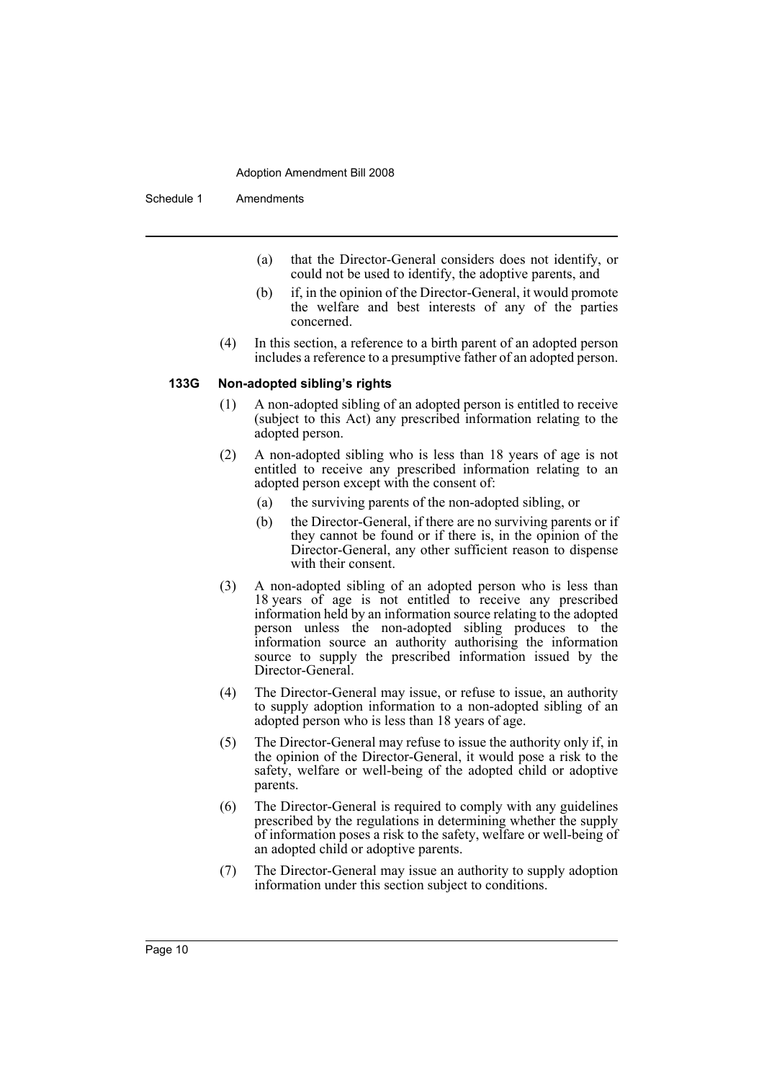Schedule 1 Amendments

- (a) that the Director-General considers does not identify, or could not be used to identify, the adoptive parents, and
- (b) if, in the opinion of the Director-General, it would promote the welfare and best interests of any of the parties concerned.
- (4) In this section, a reference to a birth parent of an adopted person includes a reference to a presumptive father of an adopted person.

#### **133G Non-adopted sibling's rights**

- (1) A non-adopted sibling of an adopted person is entitled to receive (subject to this Act) any prescribed information relating to the adopted person.
- (2) A non-adopted sibling who is less than 18 years of age is not entitled to receive any prescribed information relating to an adopted person except with the consent of:
	- (a) the surviving parents of the non-adopted sibling, or
	- (b) the Director-General, if there are no surviving parents or if they cannot be found or if there is, in the opinion of the Director-General, any other sufficient reason to dispense with their consent.
- (3) A non-adopted sibling of an adopted person who is less than 18 years of age is not entitled to receive any prescribed information held by an information source relating to the adopted person unless the non-adopted sibling produces to the information source an authority authorising the information source to supply the prescribed information issued by the Director-General.
- (4) The Director-General may issue, or refuse to issue, an authority to supply adoption information to a non-adopted sibling of an adopted person who is less than 18 years of age.
- (5) The Director-General may refuse to issue the authority only if, in the opinion of the Director-General, it would pose a risk to the safety, welfare or well-being of the adopted child or adoptive parents.
- (6) The Director-General is required to comply with any guidelines prescribed by the regulations in determining whether the supply of information poses a risk to the safety, welfare or well-being of an adopted child or adoptive parents.
- (7) The Director-General may issue an authority to supply adoption information under this section subject to conditions.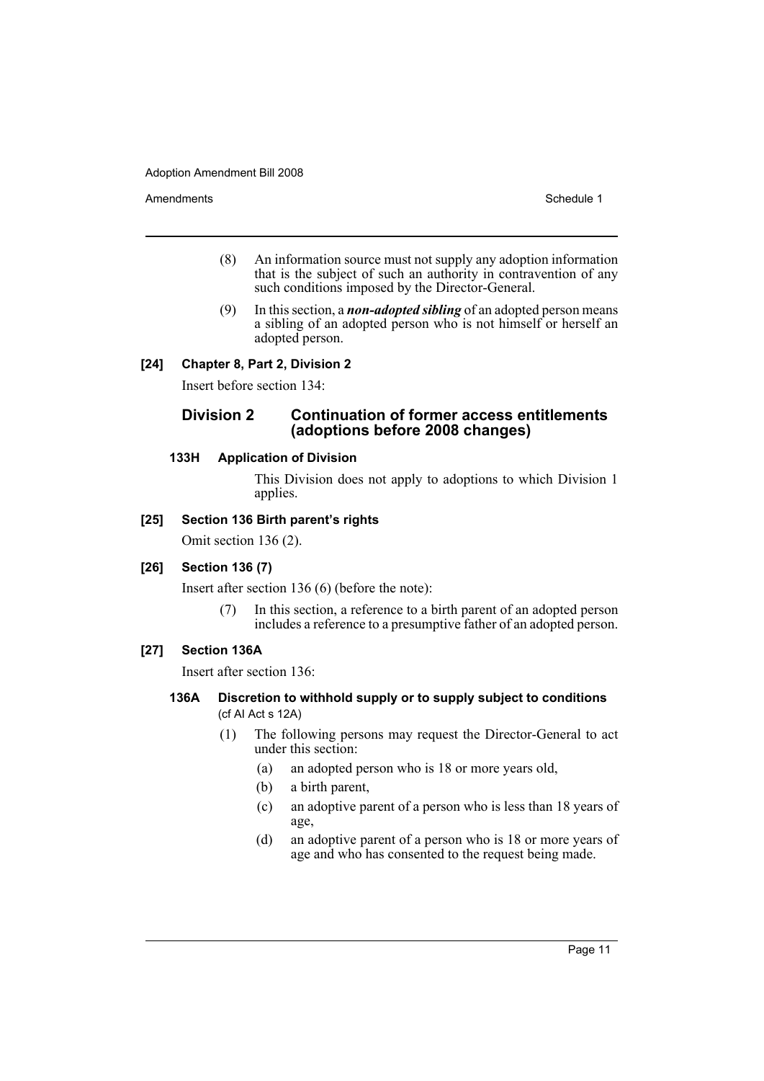Amendments **Schedule 1** and the set of the set of the set of the set of the set of the set of the set of the set of the set of the set of the set of the set of the set of the set of the set of the set of the set of the set

- (8) An information source must not supply any adoption information that is the subject of such an authority in contravention of any such conditions imposed by the Director-General.
- (9) In this section, a *non-adopted sibling* of an adopted person means a sibling of an adopted person who is not himself or herself an adopted person.

## **[24] Chapter 8, Part 2, Division 2**

Insert before section 134:

## **Division 2 Continuation of former access entitlements (adoptions before 2008 changes)**

### **133H Application of Division**

This Division does not apply to adoptions to which Division 1 applies.

## **[25] Section 136 Birth parent's rights**

Omit section 136 (2).

#### **[26] Section 136 (7)**

Insert after section 136 (6) (before the note):

(7) In this section, a reference to a birth parent of an adopted person includes a reference to a presumptive father of an adopted person.

## **[27] Section 136A**

Insert after section 136:

- **136A Discretion to withhold supply or to supply subject to conditions**  (cf AI Act s 12A)
	- (1) The following persons may request the Director-General to act under this section:
		- (a) an adopted person who is 18 or more years old,
		- (b) a birth parent,
		- (c) an adoptive parent of a person who is less than 18 years of age,
		- (d) an adoptive parent of a person who is 18 or more years of age and who has consented to the request being made.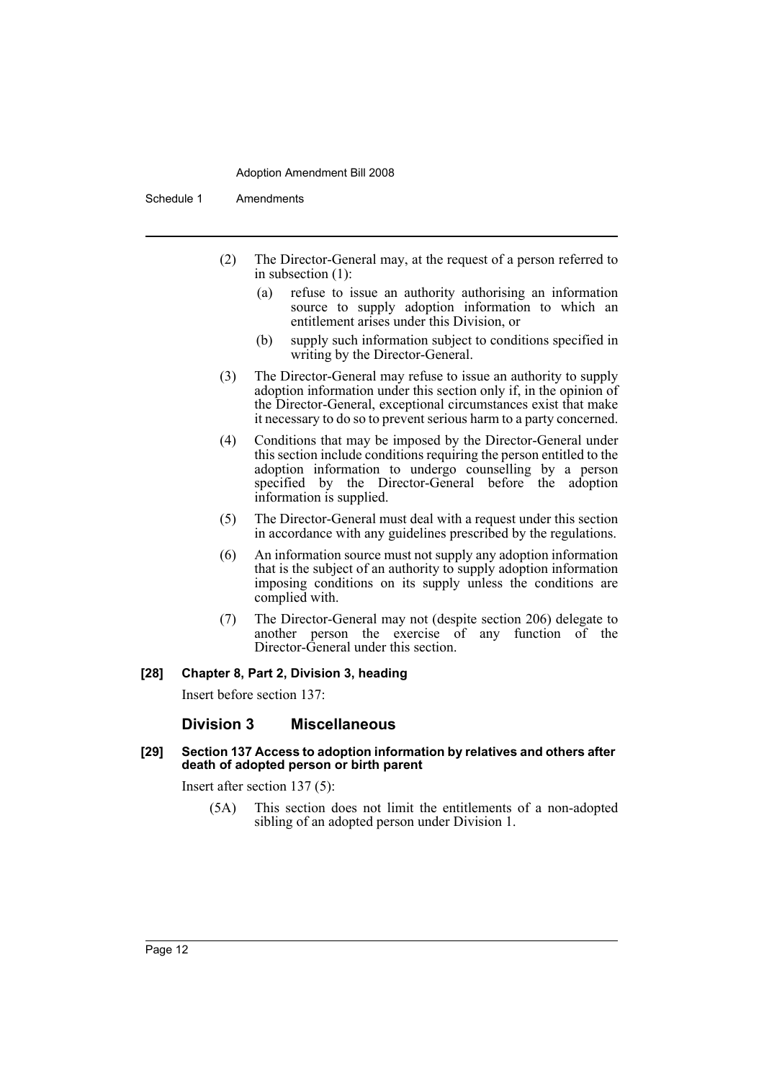Schedule 1 Amendments

- (2) The Director-General may, at the request of a person referred to in subsection (1):
	- (a) refuse to issue an authority authorising an information source to supply adoption information to which an entitlement arises under this Division, or
	- (b) supply such information subject to conditions specified in writing by the Director-General.
- (3) The Director-General may refuse to issue an authority to supply adoption information under this section only if, in the opinion of the Director-General, exceptional circumstances exist that make it necessary to do so to prevent serious harm to a party concerned.
- (4) Conditions that may be imposed by the Director-General under this section include conditions requiring the person entitled to the adoption information to undergo counselling by a person specified by the Director-General before the adoption information is supplied.
- (5) The Director-General must deal with a request under this section in accordance with any guidelines prescribed by the regulations.
- (6) An information source must not supply any adoption information that is the subject of an authority to supply adoption information imposing conditions on its supply unless the conditions are complied with.
- (7) The Director-General may not (despite section 206) delegate to another person the exercise of any function of the Director-General under this section.

#### **[28] Chapter 8, Part 2, Division 3, heading**

Insert before section 137:

#### **Division 3 Miscellaneous**

#### **[29] Section 137 Access to adoption information by relatives and others after death of adopted person or birth parent**

Insert after section 137 (5):

(5A) This section does not limit the entitlements of a non-adopted sibling of an adopted person under Division 1.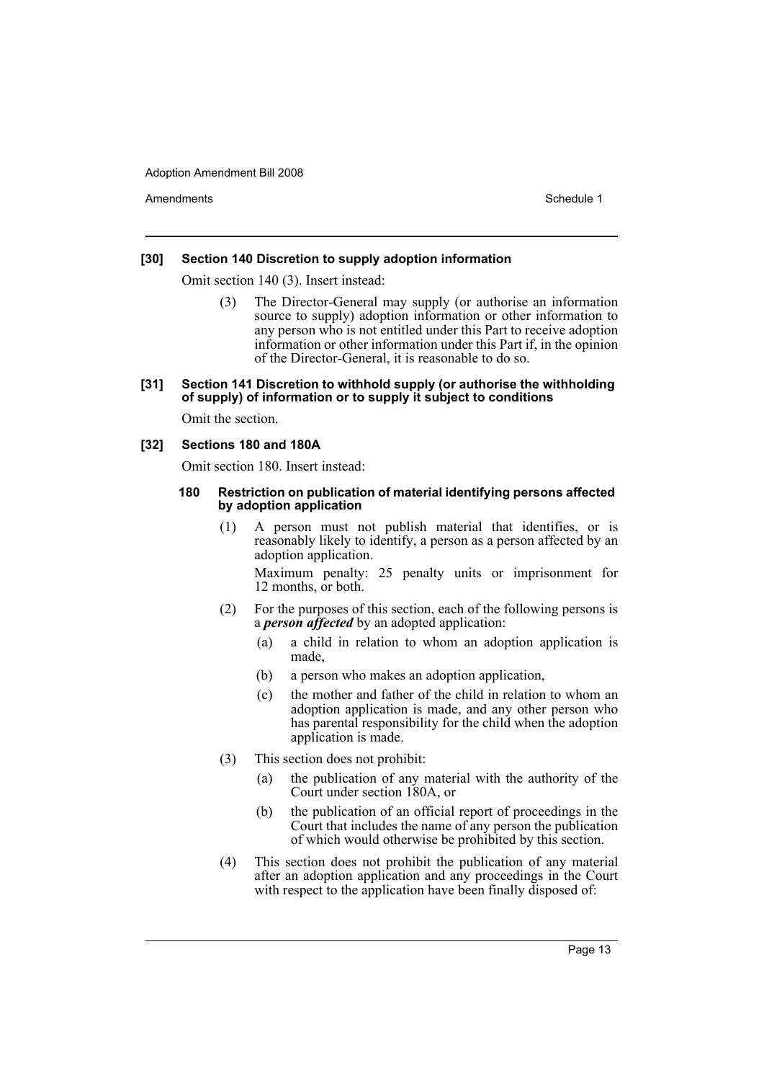Amendments **Amendments** Schedule 1

### **[30] Section 140 Discretion to supply adoption information**

Omit section 140 (3). Insert instead:

The Director-General may supply (or authorise an information source to supply) adoption information or other information to any person who is not entitled under this Part to receive adoption information or other information under this Part if, in the opinion of the Director-General, it is reasonable to do so.

### **[31] Section 141 Discretion to withhold supply (or authorise the withholding of supply) of information or to supply it subject to conditions**

Omit the section.

## **[32] Sections 180 and 180A**

Omit section 180. Insert instead:

#### **180 Restriction on publication of material identifying persons affected by adoption application**

(1) A person must not publish material that identifies, or is reasonably likely to identify, a person as a person affected by an adoption application.

Maximum penalty: 25 penalty units or imprisonment for 12 months, or both.

- (2) For the purposes of this section, each of the following persons is a *person affected* by an adopted application:
	- (a) a child in relation to whom an adoption application is made,
	- (b) a person who makes an adoption application,
	- (c) the mother and father of the child in relation to whom an adoption application is made, and any other person who has parental responsibility for the child when the adoption application is made.
- (3) This section does not prohibit:
	- (a) the publication of any material with the authority of the Court under section 180A, or
	- (b) the publication of an official report of proceedings in the Court that includes the name of any person the publication of which would otherwise be prohibited by this section.
- (4) This section does not prohibit the publication of any material after an adoption application and any proceedings in the Court with respect to the application have been finally disposed of: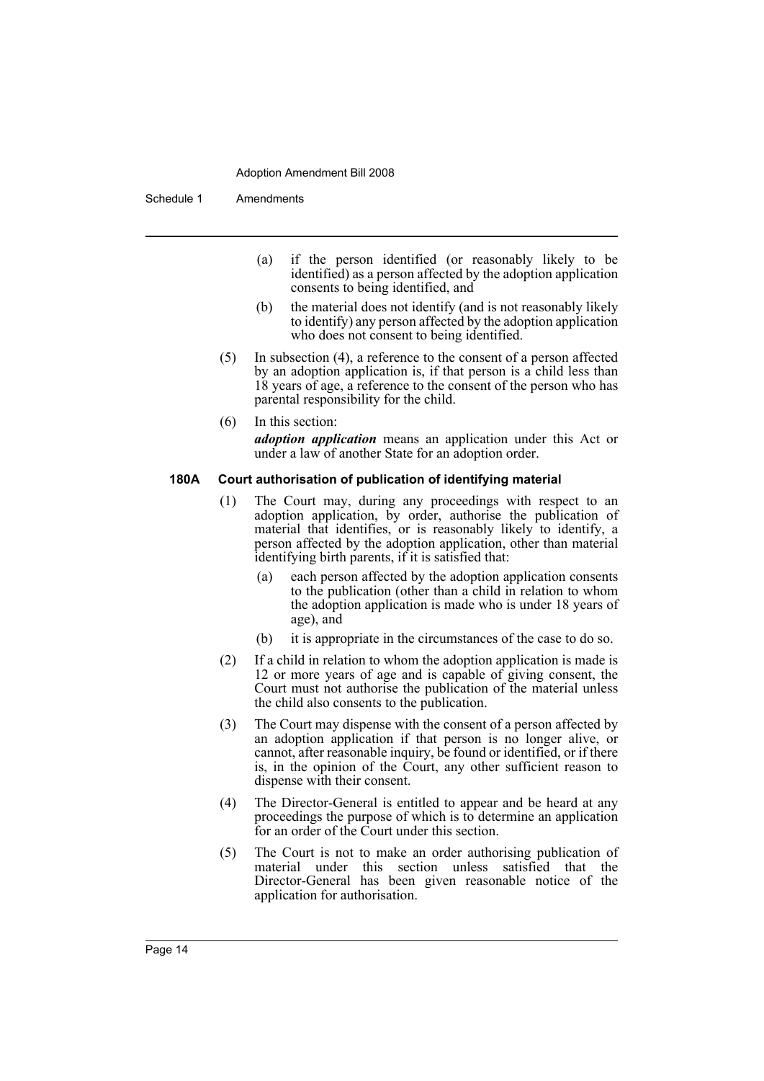Schedule 1 Amendments

- (a) if the person identified (or reasonably likely to be identified) as a person affected by the adoption application consents to being identified, and
- (b) the material does not identify (and is not reasonably likely to identify) any person affected by the adoption application who does not consent to being identified.
- (5) In subsection (4), a reference to the consent of a person affected by an adoption application is, if that person is a child less than 18 years of age, a reference to the consent of the person who has parental responsibility for the child.
- (6) In this section: *adoption application* means an application under this Act or under a law of another State for an adoption order.

#### **180A Court authorisation of publication of identifying material**

- (1) The Court may, during any proceedings with respect to an adoption application, by order, authorise the publication of material that identifies, or is reasonably likely to identify, a person affected by the adoption application, other than material identifying birth parents, if it is satisfied that:
	- (a) each person affected by the adoption application consents to the publication (other than a child in relation to whom the adoption application is made who is under 18 years of age), and
	- (b) it is appropriate in the circumstances of the case to do so.
- (2) If a child in relation to whom the adoption application is made is 12 or more years of age and is capable of giving consent, the Court must not authorise the publication of the material unless the child also consents to the publication.
- (3) The Court may dispense with the consent of a person affected by an adoption application if that person is no longer alive, or cannot, after reasonable inquiry, be found or identified, or if there is, in the opinion of the Court, any other sufficient reason to dispense with their consent.
- (4) The Director-General is entitled to appear and be heard at any proceedings the purpose of which is to determine an application for an order of the Court under this section.
- (5) The Court is not to make an order authorising publication of material under this section unless satisfied that the Director-General has been given reasonable notice of the application for authorisation.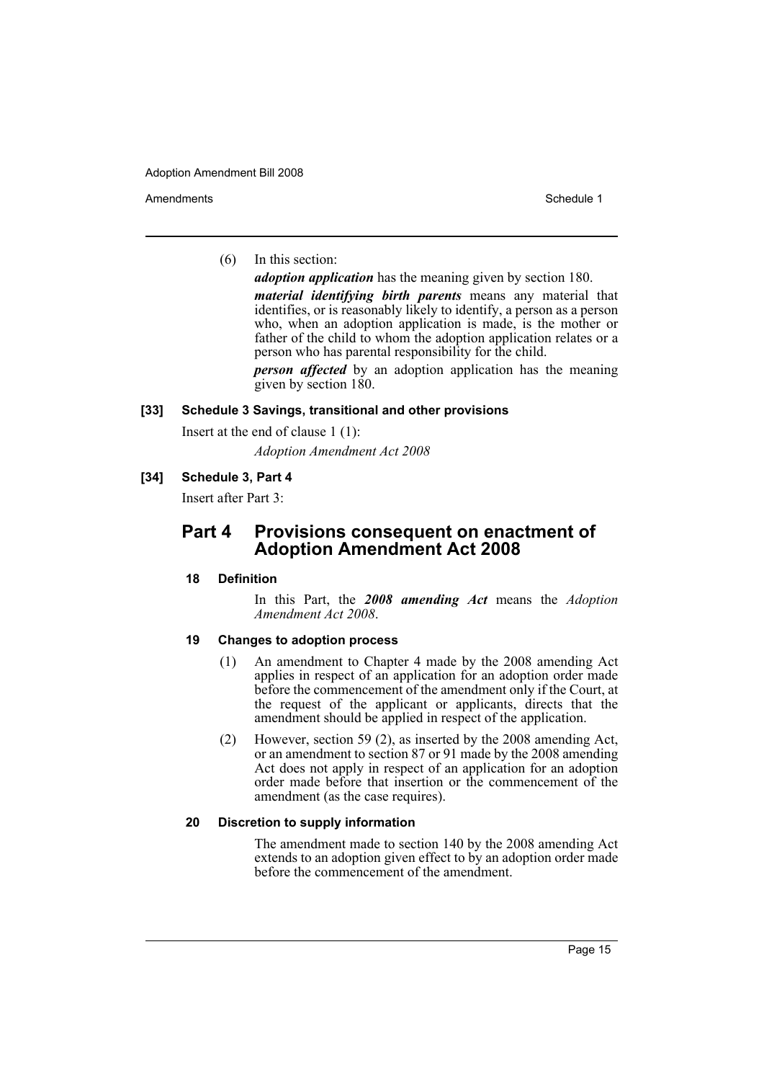Amendments **Amendments** Schedule 1

(6) In this section:

*adoption application* has the meaning given by section 180.

*material identifying birth parents* means any material that identifies, or is reasonably likely to identify, a person as a person who, when an adoption application is made, is the mother or father of the child to whom the adoption application relates or a person who has parental responsibility for the child.

*person affected* by an adoption application has the meaning given by section 180.

#### **[33] Schedule 3 Savings, transitional and other provisions**

Insert at the end of clause 1 (1):

*Adoption Amendment Act 2008*

## **[34] Schedule 3, Part 4**

Insert after Part 3:

## **Part 4 Provisions consequent on enactment of Adoption Amendment Act 2008**

#### **18 Definition**

In this Part, the *2008 amending Act* means the *Adoption Amendment Act 2008*.

## **19 Changes to adoption process**

- (1) An amendment to Chapter 4 made by the 2008 amending Act applies in respect of an application for an adoption order made before the commencement of the amendment only if the Court, at the request of the applicant or applicants, directs that the amendment should be applied in respect of the application.
- (2) However, section 59 (2), as inserted by the 2008 amending Act, or an amendment to section 87 or 91 made by the 2008 amending Act does not apply in respect of an application for an adoption order made before that insertion or the commencement of the amendment (as the case requires).

#### **20 Discretion to supply information**

The amendment made to section 140 by the 2008 amending Act extends to an adoption given effect to by an adoption order made before the commencement of the amendment.